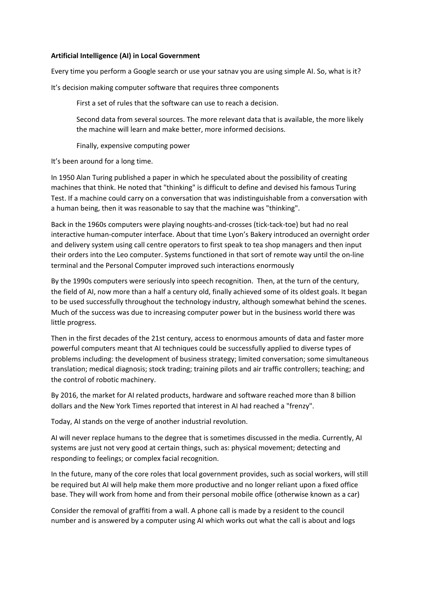## Artificial Intelligence (AI) in Local Government

Every time you perform a Google search or use your satnav you are using simple AI. So, what is it?

It's decision making computer software that requires three components

First a set of rules that the software can use to reach a decision.

Second data from several sources. The more relevant data that is available, the more likely the machine will learn and make better, more informed decisions.

Finally, expensive computing power

It's been around for a long time.

In 1950 Alan Turing published a paper in which he speculated about the possibility of creating machines that think. He noted that "thinking" is difficult to define and devised his famous Turing Test. If a machine could carry on a conversation that was indistinguishable from a conversation with a human being, then it was reasonable to say that the machine was "thinking".

Back in the 1960s computers were playing noughts-and-crosses (tick-tack-toe) but had no real interactive human-computer interface. About that time Lyon's Bakery introduced an overnight order and delivery system using call centre operators to first speak to tea shop managers and then input their orders into the Leo computer. Systems functioned in that sort of remote way until the on-line terminal and the Personal Computer improved such interactions enormously

By the 1990s computers were seriously into speech recognition. Then, at the turn of the century, the field of AI, now more than a half a century old, finally achieved some of its oldest goals. It began to be used successfully throughout the technology industry, although somewhat behind the scenes. Much of the success was due to increasing computer power but in the business world there was little progress.

Then in the first decades of the 21st century, access to enormous amounts of data and faster more powerful computers meant that AI techniques could be successfully applied to diverse types of problems including: the development of business strategy; limited conversation; some simultaneous translation; medical diagnosis; stock trading; training pilots and air traffic controllers; teaching; and the control of robotic machinery.

By 2016, the market for AI related products, hardware and software reached more than 8 billion dollars and the New York Times reported that interest in AI had reached a "frenzy".

Today, AI stands on the verge of another industrial revolution.

AI will never replace humans to the degree that is sometimes discussed in the media. Currently, AI systems are just not very good at certain things, such as: physical movement; detecting and responding to feelings; or complex facial recognition.

In the future, many of the core roles that local government provides, such as social workers, will still be required but AI will help make them more productive and no longer reliant upon a fixed office base. They will work from home and from their personal mobile office (otherwise known as a car)

Consider the removal of graffiti from a wall. A phone call is made by a resident to the council number and is answered by a computer using AI which works out what the call is about and logs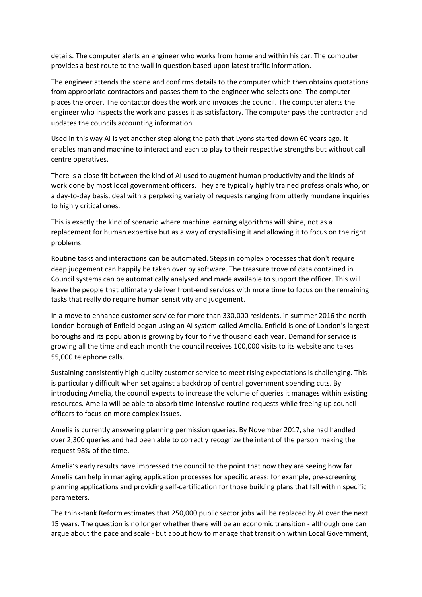details. The computer alerts an engineer who works from home and within his car. The computer provides a best route to the wall in question based upon latest traffic information.

The engineer attends the scene and confirms details to the computer which then obtains quotations from appropriate contractors and passes them to the engineer who selects one. The computer places the order. The contactor does the work and invoices the council. The computer alerts the engineer who inspects the work and passes it as satisfactory. The computer pays the contractor and updates the councils accounting information.

Used in this way AI is yet another step along the path that Lyons started down 60 years ago. It enables man and machine to interact and each to play to their respective strengths but without call centre operatives.

There is a close fit between the kind of AI used to augment human productivity and the kinds of work done by most local government officers. They are typically highly trained professionals who, on a day-to-day basis, deal with a perplexing variety of requests ranging from utterly mundane inquiries to highly critical ones.

This is exactly the kind of scenario where machine learning algorithms will shine, not as a replacement for human expertise but as a way of crystallising it and allowing it to focus on the right problems.

Routine tasks and interactions can be automated. Steps in complex processes that don't require deep judgement can happily be taken over by software. The treasure trove of data contained in Council systems can be automatically analysed and made available to support the officer. This will leave the people that ultimately deliver front-end services with more time to focus on the remaining tasks that really do require human sensitivity and judgement.

In a move to enhance customer service for more than 330,000 residents, in summer 2016 the north London borough of Enfield began using an AI system called Amelia. Enfield is one of London's largest boroughs and its population is growing by four to five thousand each year. Demand for service is growing all the time and each month the council receives 100,000 visits to its website and takes 55,000 telephone calls.

Sustaining consistently high-quality customer service to meet rising expectations is challenging. This is particularly difficult when set against a backdrop of central government spending cuts. By introducing Amelia, the council expects to increase the volume of queries it manages within existing resources. Amelia will be able to absorb time-intensive routine requests while freeing up council officers to focus on more complex issues.

Amelia is currently answering planning permission queries. By November 2017, she had handled over 2,300 queries and had been able to correctly recognize the intent of the person making the request 98% of the time.

Amelia's early results have impressed the council to the point that now they are seeing how far Amelia can help in managing application processes for specific areas: for example, pre-screening planning applications and providing self-certification for those building plans that fall within specific parameters. 

The think-tank Reform estimates that 250,000 public sector jobs will be replaced by AI over the next 15 years. The question is no longer whether there will be an economic transition - although one can argue about the pace and scale - but about how to manage that transition within Local Government,